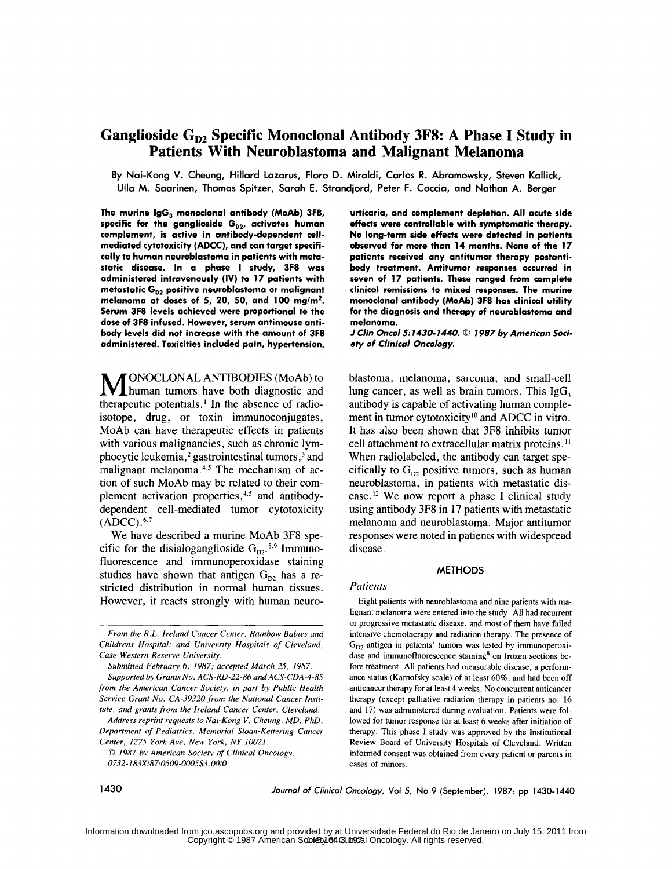# Ganglioside G<sub>D2</sub> Specific Monoclonal Antibody 3F8: A Phase I Study in **Patients With Neuroblastoma and Malignant Melanoma**

**By Nai-Kong V. Cheung, Hillard Lazarus, Floro D. Miraldi, Carlos R. Abramowsky, Steven Kallick, Ulla M. Saarinen, Thomas Spitzer, Sarah E. Strandjord, Peter F. Coccia, and Nathan A. Berger**

The murine IgG<sub>3</sub> monoclonal antibody (MoAb) 3F8, specific for the ganglioside G<sub>D2</sub>, activates human **complement, is active in antibody-dependent cellmediated cytotoxicity (ADCC), and can target specifically to human neuroblastoma in patients with metastatic disease. In a phase I study, 3F8 was administered intravenously (IV) to 17 patients with** metastatic G<sub>D2</sub> positive neuroblastoma or malignant **melanoma at doses of 5, 20, 50, and 100 mg/m<sup>2</sup> . Serum 3F8 levels achieved were proportional to the dose of 3F8 infused. However, serum antimouse antibody levels did not increase with the amount of 3F8 administered. Toxicities included pain, hypertension,**

**MONOCLONAL ANTIBODIES** (MoAb) to human tumors have both diagnostic and therapeutic potentials.' In the absence of radioisotope, drug, or toxin immunoconjugates, MoAb can have therapeutic effects in patients with various malignancies, such as chronic lymphocytic leukemia,<sup>2</sup> gastrointestinal tumors,<sup>3</sup> and malignant melanoma. $4.5$  The mechanism of action of such MoAb may be related to their complement activation properties,<sup>4,5</sup> and antibodydependent cell-mediated tumor cytotoxicity **(ADCC) .6,7**

We have described a murine MoAb **3F8** specific for the disialoganglioside  $G_{D2}$ .<sup>8,9</sup> Immunofluorescence and immunoperoxidase staining studies have shown that antigen  $G_{D2}$  has a restricted distribution in normal human tissues. However, it reacts strongly with human neuro**urticaria, and complement depletion. All acute side effects were controllable with symptomatic therapy. No long-term side effects were detected in patients observed for more than 14 months. None of the 17 patients received any antitumor therapy postantibody treatment. Antitumor responses occurred in seven of 17 patients. These ranged from complete clinical remissions to mixed responses. The murine monoclonal antibody** (MoAb) **3F8 has clinical utility for the diagnosis and therapy of neuroblastoma and melanoma.**

*J Clin Oncol* **5:1430-1440.** *© 1987 by American Society of Clinical Oncology.*

blastoma, melanoma, sarcoma, and small-cell lung cancer, as well as brain tumors. This  $IgG<sub>3</sub>$ antibody is capable of activating human complement in tumor cytotoxicity<sup>10</sup> and ADCC in vitro. It has also been shown that **3F8** inhibits tumor cell attachment to extracellular matrix proteins." When radiolabeled, the antibody can target specifically to  $G_{D2}$  positive tumors, such as human neuroblastoma, in patients with metastatic disease.<sup>12</sup> We now report a phase I clinical study using antibody **3F8** in **17** patients with metastatic melanoma and neuroblastoma. Major antitumor responses were noted in patients with widespread disease.

### **METHODS**

### *Patients*

Eight patients with neuroblastoma and nine patients with malignant melanoma were entered into the study. All had recurrent or progressive metastatic disease, and most of them have failed intensive chemotherapy and radiation therapy. The presence of  $G_{D2}$  antigen in patients' tumors was tested by immunoperoxidase and immunofluorescence staining<sup>8</sup> on frozen sections before treatment. All patients had measurable disease, a performance status (Karnofsky scale) of at least 60%, and had been off anticancer therapy for at least 4 weeks. No concurrent anticancer therapy (except palliative radiation therapy in patients no. 16 and 17) was administered during evaluation. Patients were followed for tumor response for at least **6** weeks after initiation of therapy. This phase I study was approved by the Institutional Review Board of University Hospitals of Cleveland. Written informed consent was obtained from every patient or parents in cases of minors.

1430 *Journal of Clinical Oncology,* Vol **5,** No **9** (September), 1987: pp 1430-1440

*From the R.L. Ireland Cancer Center, Rainbow Babies and Childrens Hospital; and University Hospitals of Cleveland, Case Western Reserve University.*

*Submitted February* 6, *1987; accepted March 25, 1987. Supported by Grants No. ACS-RD-22-86 andACS-CDA-4-85*

*from the American Cancer Society, in part by Public Health Service Grant No. CA-39320 from the National Cancer Institute, and grants from the Ireland Cancer Center, Cleveland.*

*Address reprint requests to Nai-Kong V. Cheung, MD, PhD, Department of Pediatrics, Memorial Sloan-Kettering Cancer Center, 1275 York Ave, New York, NY 10021.*

**C** *1987 by American Society of Clinical Oncology. 0732-183X/87/0509-0005\$3.00/0*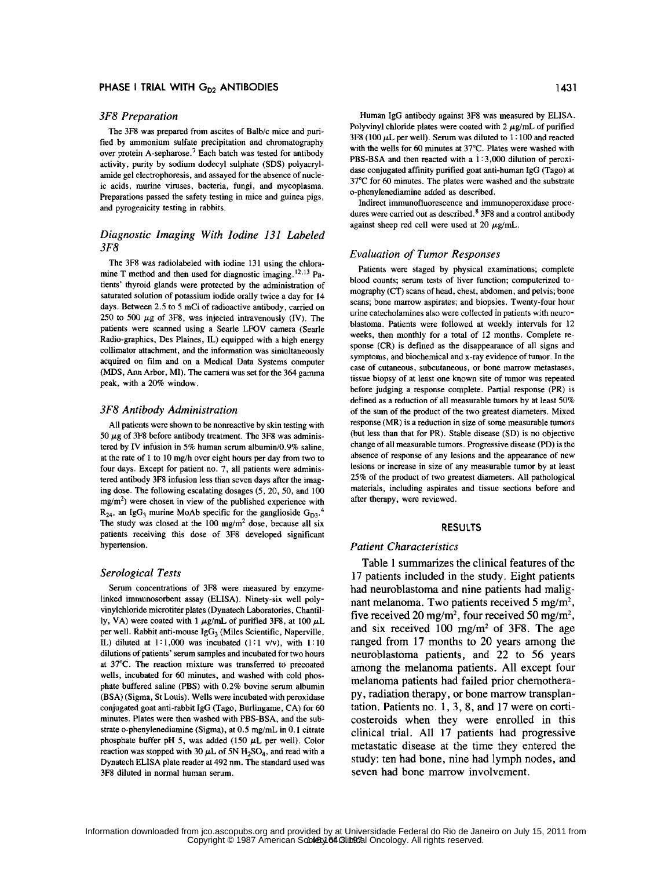### *3F8 Preparation*

The 3F8 was prepared from ascites of Balb/c mice and purified by ammonium sulfate precipitation and chromatography over protein A-sepharose.<sup>7</sup> Each batch was tested for antibody activity, purity by sodium dodecyl sulphate (SDS) polyacrylamide gel electrophoresis, and assayed for the absence of nucleic acids, murine viruses, bacteria, fungi, and mycoplasma. Preparations passed the safety testing in mice and guinea pigs, and pyrogenicity testing in rabbits.

# *Diagnostic Imaging With Iodine 131 Labeled 3F8*

The 3F8 was radiolabeled with iodine 131 using the chloramine T method and then used for diagnostic imaging.<sup>12,13</sup> Patients' thyroid glands were protected by the administration of saturated solution of potassium iodide orally twice a day for 14 days. Between 2.5 to 5 mCi of radioactive antibody, carried on 250 to 500  $\mu$ g of 3F8, was injected intravenously (IV). The patients were scanned using a Searle LFOV camera (Searle Radio-graphics, Des Plaines, IL) equipped with a high energy collimator attachment, and the information was simultaneously acquired on film and on a Medical Data Systems computer (MDS, Ann Arbor, MI). The camera was set for the 364 gamma peak, with a 20% window.

# *3F8 Antibody Administration*

All patients were shown to be nonreactive by skin testing with 50  $\mu$ g of 3F8 before antibody treatment. The 3F8 was administered by IV infusion in 5% human serum albumin/0.9% saline, at the rate of 1 to 10 mg/h over eight hours per day from two to four days. Except for patient no. 7, all patients were administered antibody 3F8 infusion less than seven days after the imaging dose. The following escalating dosages (5, 20, 50, and 100 mg/m<sup>2</sup>) were chosen in view of the published experience with  $R_{24}$ , an Ig $G_3$  murine MoAb specific for the ganglioside  $G_{D3}$ . The study was closed at the 100 *mgim2* dose, because all six patients receiving this dose of 3F8 developed significant hypertension.

### *Serological Tests*

Serum concentrations of 3F8 were measured by enzymelinked immunosorbent assay (ELISA). Ninety-six well polyvinylchloride microtiter plates (Dynatech Laboratories, Chantilly, VA) were coated with  $1 \mu g/mL$  of purified 3F8, at 100  $\mu L$ per well. Rabbit anti-mouse  $IgG_3$  (Miles Scientific, Naperville, IL) diluted at 1:1,000 was incubated (1:1 v/v), with **1:10** dilutions of patients' serum samples and incubated for two hours at 37°C. The reaction mixture was transferred to precoated wells, incubated for 60 minutes, and washed with cold phosphate buffered saline (PBS) with 0.2% bovine serum albumin (BSA) (Sigma, St Louis). Wells were incubated with peroxidase conjugated goat anti-rabbit IgG (Tago, Burlingame, CA) for 60 minutes. Plates were then washed with PBS-BSA, and the substrate o-phenylenediamine (Sigma), at 0.5 mg/mL in 0. I citrate phosphate buffer pH 5, was added (150 **IL** per well). Color reaction was stopped with 30  $\mu$ L of 5N H<sub>2</sub>SO<sub>4</sub>, and read with a Dynatech ELISA plate reader at 492 nm. The standard used was 3F8 diluted in normal human serum.

Human IgG antibody against 3F8 was measured by ELISA. Polyvinyl chloride plates were coated with  $2 \mu g/mL$  of purified 3F8 (100 *AL* per well). Serum was diluted to 1: 100 and reacted with the wells for 60 minutes at 37°C. Plates were washed with PBS-BSA and then reacted with a 1:3,000 dilution of peroxidase conjugated affinity purified goat anti-human IgG (Tago) at 37°C for 60 minutes. The plates were washed and the substrate o-phenylenediamine added as described.

Indirect immunofluorescence and immunoperoxidase procedures were carried out as described.<sup>8</sup> 3F8 and a control antibody against sheep red cell were used at 20  $\mu$ g/mL.

#### *Evaluation of Tumor Responses*

Patients were staged by physical examinations; complete blood counts; serum tests of liver function; computerized tomography (CT) scans of head, chest, abdomen, and pelvis; bone scans; bone marrow aspirates; and biopsies. Twenty-four hour urine catecholamines also were collected in patients with neuroblastoma. Patients were followed at weekly intervals for 12 weeks, then monthly for a total of 12 months. Complete response (CR) is defined as the disappearance of all signs and symptoms, and biochemical and x-ray evidence of tumor. In the case of cutaneous, subcutaneous, or bone marrow metastases, tissue biopsy of at least one known site of tumor was repeated before judging a response complete. Partial response (PR) is defined as a reduction of all measurable tumors by at least 50% of the sum of the product of the two greatest diameters. Mixed response (MR) is a reduction in size of some measurable tumors (but less than that for PR). Stable disease (SD) is no objective change of all measurable tumors. Progressive disease (PD) is the absence of response of any lesions and the appearance of new lesions or increase in size of any measurable tumor by at least 25% of the product of two greatest diameters. All pathological materials, including aspirates and tissue sections before and after therapy, were reviewed.

### RESULTS

### *Patient Characteristics*

Table 1 summarizes the clinical features of the **17** patients included in the study. Eight patients had neuroblastoma and nine patients had malignant melanoma. Two patients received **5** mg/m2, five received 20 mg/m2, four received **50 mg/m2,** and six received **100** mg/m2 **of 3F8.** The age ranged from **17** months to 20 years among the neuroblastoma patients, and 22 to **56** years among the melanoma patients. **All** except four melanoma patients had failed prior chemothera**py,** radiation therapy, or bone marrow transplantation. Patients no. 1, 3, 8, and **17** were on corticosteroids when they were enrolled in this clinical trial. **All 17** patients had progressive metastatic disease at the time they entered the study: ten had bone, nine had lymph nodes, and seven had bone marrow involvement.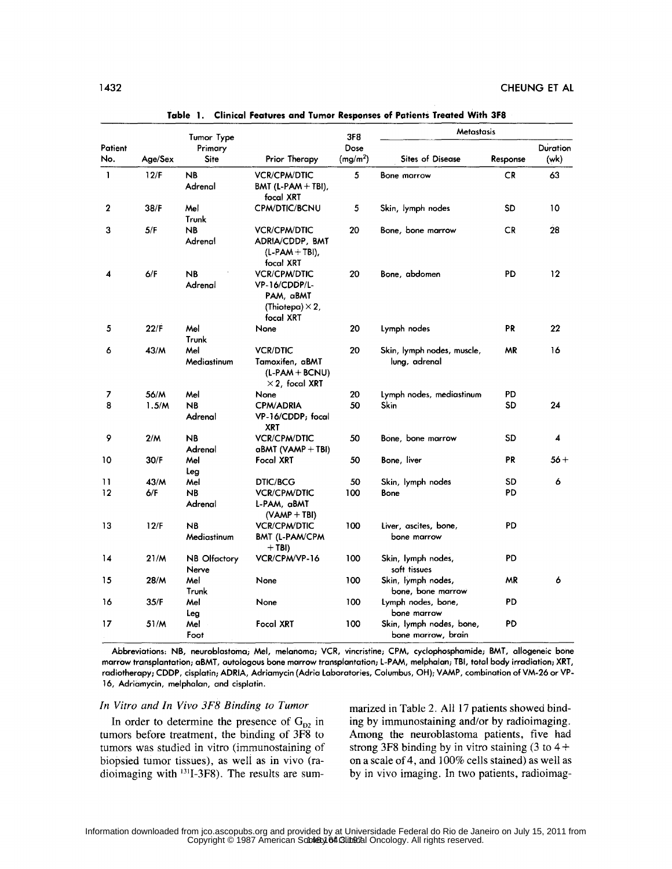|              |         |                              |                                                                                          | <b>3F8</b>           | <b>Metastasis</b>                              |           |          |
|--------------|---------|------------------------------|------------------------------------------------------------------------------------------|----------------------|------------------------------------------------|-----------|----------|
| Patient      |         | Tumor Type<br>Primary        |                                                                                          | Dose                 |                                                |           | Duration |
| No.          | Age/Sex | Site                         | Prior Therapy                                                                            | (mg/m <sup>2</sup> ) | <b>Sites of Disease</b>                        | Response  | (wk)     |
| $\mathbf{1}$ | 12/F    | <b>NB</b><br>Adrenal         | <b>VCR/CPM/DTIC</b><br>BMT (L-PAM $+$ TBI),<br>focal XRT                                 | 5                    | <b>Bone marrow</b>                             | <b>CR</b> | 63       |
| 2            | 38/F    | Mel<br>Trunk                 | <b>CPM/DTIC/BCNU</b>                                                                     | 5                    | Skin, lymph nodes                              | SD        | 10       |
| 3            | 5/F     | <b>NB</b><br>Adrenal         | <b>VCR/CPM/DTIC</b><br>ADRIA/CDDP, BMT<br>$(L-PAM + TBI)$<br>focal XRT                   | 20                   | Bone, bone marrow                              | CR        | 28       |
| 4            | 6/F     | NB<br>Adrenal                | <b>VCR/CPM/DTIC</b><br>VP-16/CDDP/L-<br>PAM, aBMT<br>(Thiotepa) $\times$ 2,<br>focal XRT | 20                   | Bone, abdomen                                  | PD        | 12       |
| 5            | 22/F    | Mel<br>Trunk                 | None                                                                                     | 20                   | Lymph nodes                                    | PR        | 22       |
| 6            | 43/M    | Mel<br>Mediastinum           | <b>VCR/DTIC</b><br>Tamoxifen, aBMT<br>$(L-PAM + BCNU)$<br>$\times$ 2, focal XRT          | 20                   | Skin, lymph nodes, muscle,<br>lung, adrenal    | ΜR        | 16       |
| 7            | 56/M    | Mel                          | None                                                                                     | 20                   | Lymph nodes, mediastinum                       | PD        |          |
| 8            | 1.5/M   | <b>NB</b><br>Adrenal         | <b>CPM/ADRIA</b><br>VP-16/CDDP; focal<br>XRT                                             | 50                   | Skin                                           | SD        | 24       |
| 9            | 2/M     | <b>NB</b><br>Adrenal         | <b>VCR/CPM/DTIC</b><br>aBMT (VAMP + TBI)                                                 | 50                   | Bone, bone marrow                              | <b>SD</b> | 4        |
| 10           | 30/F    | Mel<br>Leg                   | Focal XRT                                                                                | 50                   | Bone, liver                                    | PR.       | $56+$    |
| 11           | 43/M    | Mel                          | <b>DTIC/BCG</b>                                                                          | 50                   | Skin, lymph nodes                              | SD.       | 6        |
| 12           | 6/F     | <b>NB</b><br>Adrenal         | <b>VCR/CPM/DTIC</b><br>L-PAM, aBMT<br>$(VAMP + TBI)$                                     | 100                  | Bone                                           | PD        |          |
| 13           | 12/F    | <b>NB</b><br>Mediastinum     | <b>VCR/CPM/DTIC</b><br><b>BMT (L-PAM/CPM</b><br>$+$ TBI)                                 | 100                  | Liver, ascites, bone,<br>bone marrow           | PD        |          |
| 14           | 21/M    | <b>NB</b> Olfactory<br>Nerve | VCR/CPM/VP-16                                                                            | 100                  | Skin, lymph nodes,<br>soft tissues             | PD        |          |
| 15           | 28/M    | Mel<br>Trunk                 | None                                                                                     | 100                  | Skin, lymph nodes,<br>bone, bone marrow        | MR        | 6        |
| 16           | 35/F    | Mel<br>Leg                   | None                                                                                     | 100                  | Lymph nodes, bone,<br>bone marrow              | PD        |          |
| 17           | 51/M    | Mel<br>Foot                  | Focal XRT                                                                                | 100                  | Skin, lymph nodes, bone,<br>bone marrow, brain | PD        |          |

**Table 1. Clinical Features and Tumor Responses of Patients Treated With 3F8**

Abbreviations: NB, neuroblastoma; Mel, melanoma; VCR, vincristine; CPM, cyclophosphamide; BMT, allogeneic bone marrow transplantation; aBMT, autologous bone marrow transplantation; L-PAM, melphalan; TBI, total body irradiation; XRT, radiotherapy; CDDP, cisplatin; ADRIA, Adriamycin (Adria Laboratories, Columbus, OH); VAMP, combination of VM-26 or VP-16, Adriamycin, melphalan, and cisplatin.

# *In Vitro and In Vivo 3F8 Binding to Tumor*

In order to determine the presence of  $G_{D2}$  in tumors before treatment, the binding of 3F8 to tumors was studied in vitro (immunostaining of biopsied tumor tissues), as well as in vivo (radioimaging with **<sup>3</sup> 1I-3F8).** The results are summarized in Table 2. All 17 patients showed binding **by** immunostaining and/or by radioimaging. Among the neuroblastoma patients, five had strong  $3F8$  binding by in vitro staining  $(3 \text{ to } 4 +$ on a scale of 4, and 100% cells stained) as well as **by** in vivo imaging. In two patients, radioimag-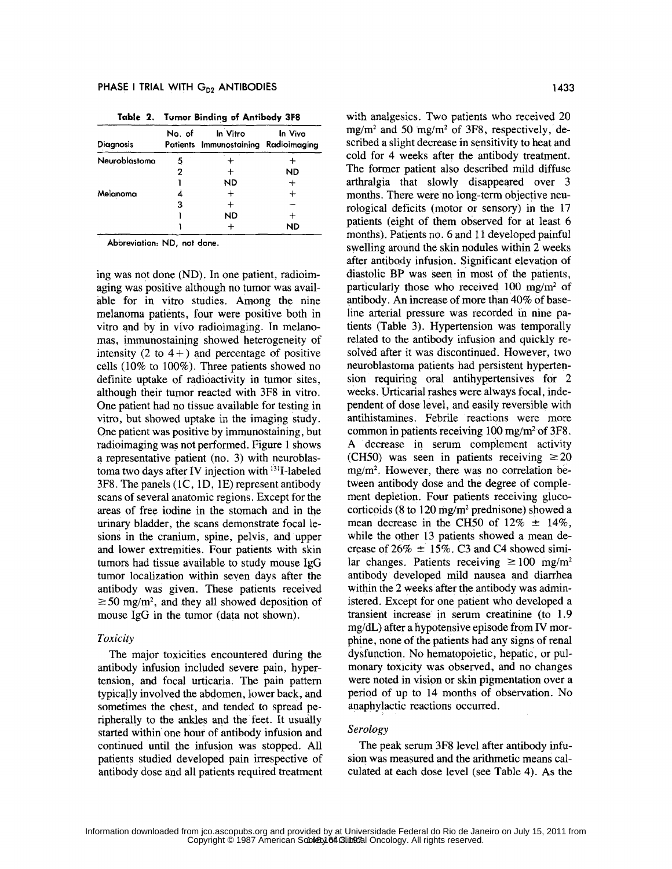| <b>Diagnosis</b> | No. of | In Vitro<br>Patients Immunostaining | In Vivo<br>Radioimaging |
|------------------|--------|-------------------------------------|-------------------------|
| Neuroblastoma    | 5      |                                     |                         |
|                  | 2      |                                     | <b>ND</b>               |
|                  |        | <b>ND</b>                           |                         |
| Melanoma         |        | ┿                                   |                         |
|                  | 3      |                                     |                         |
|                  |        | ND                                  |                         |
|                  |        |                                     | ND                      |

Table 2. Tumor Binding **of** Antibody **3F8**

Abbreviation: **ND,** not done.

ing was not done (ND). In one patient, radioimaging was positive although no tumor was available for in vitro studies. Among the nine melanoma patients, four were positive both in vitro and by in vivo radioimaging. In melanomas, immunostaining showed heterogeneity of intensity  $(2 \text{ to } 4+)$  and percentage of positive cells (10% to 100%). Three patients showed no definite uptake of radioactivity in tumor sites, although their tumor reacted with 3F8 in vitro. One patient had no tissue available for testing in vitro, but showed uptake in the imaging study. One patient was positive by immunostaining, but radioimaging was not performed. Figure 1 shows a representative patient (no. 3) with neuroblastoma two days after IV injection with <sup>131</sup>I-labeled 3F8. The panels (IC, 1D, 1E) represent antibody scans of several anatomic regions. Except for the areas of free iodine in the stomach and in the urinary bladder, the scans demonstrate focal lesions in the cranium, spine, pelvis, and upper and lower extremities. Four patients with skin tumors had tissue available to study mouse IgG tumor localization within seven days after the antibody was given. These patients received  $\geq$  50 mg/m<sup>2</sup>, and they all showed deposition of mouse IgG in the tumor (data not shown).

### *Toxicity*

The major toxicities encountered during the antibody infusion included severe pain, hypertension, and focal urticaria. The pain pattern typically involved the abdomen, lower back, and sometimes the chest, and tended to spread peripherally to the ankles and the feet. It usually started within one hour of antibody infusion and continued until the infusion was stopped. All patients studied developed pain irrespective of antibody dose and all patients required treatment with analgesics. Two patients who received 20  $mg/m<sup>2</sup>$  and 50 mg/m<sup>2</sup> of 3F8, respectively, described a slight decrease in sensitivity to heat and cold for 4 weeks after the antibody treatment. The former patient also described mild diffuse arthralgia that slowly disappeared over 3 months. There were no long-term objective neurological deficits (motor or sensory) in the 17 patients (eight of them observed for at least 6 months). Patients no. 6 and 11 developed painful swelling around the skin nodules within 2 weeks after antibody infusion. Significant elevation of diastolic BP was seen in most of the patients, particularly those who received 100 mg/m<sup>2</sup> of antibody. An increase of more than 40% of baseline arterial pressure was recorded in nine patients (Table 3). Hypertension was temporally related to the antibody infusion and quickly resolved after it was discontinued. However, two neuroblastoma patients had persistent hypertension requiring oral antihypertensives for 2 weeks. Urticarial rashes were always focal, independent of dose level, and easily reversible with antihistamines. Febrile reactions were more common in patients receiving  $100 \text{ mg/m}^2$  of 3F8. A decrease in serum complement activity (CH50) was seen in patients receiving  $\geq 20$  $mg/m<sup>2</sup>$ . However, there was no correlation between antibody dose and the degree of complement depletion. Four patients receiving glucocorticoids (8 to 120 mg/m2 prednisone) showed a mean decrease in the CH50 of  $12\% \pm 14\%$ , while the other 13 patients showed a mean decrease of  $26\% \pm 15\%$ . C3 and C4 showed similar changes. Patients receiving  $\geq 100$  mg/m<sup>2</sup> antibody developed mild nausea and diarrhea within the 2 weeks after the antibody was administered. Except for one patient who developed a transient increase in serum creatinine (to 1.9 mg/dL) after a hypotensive episode from IV morphine, none of the patients had any signs of renal dysfunction. No hematopoietic, hepatic, or pulmonary toxicity was observed, and no changes were noted in vision or skin pigmentation over a period of up to 14 months of observation. No anaphylactic reactions occurred.

# *Serology*

The peak serum 3F8 level after antibody infusion was measured and the arithmetic means calculated at each dose level (see Table 4). As the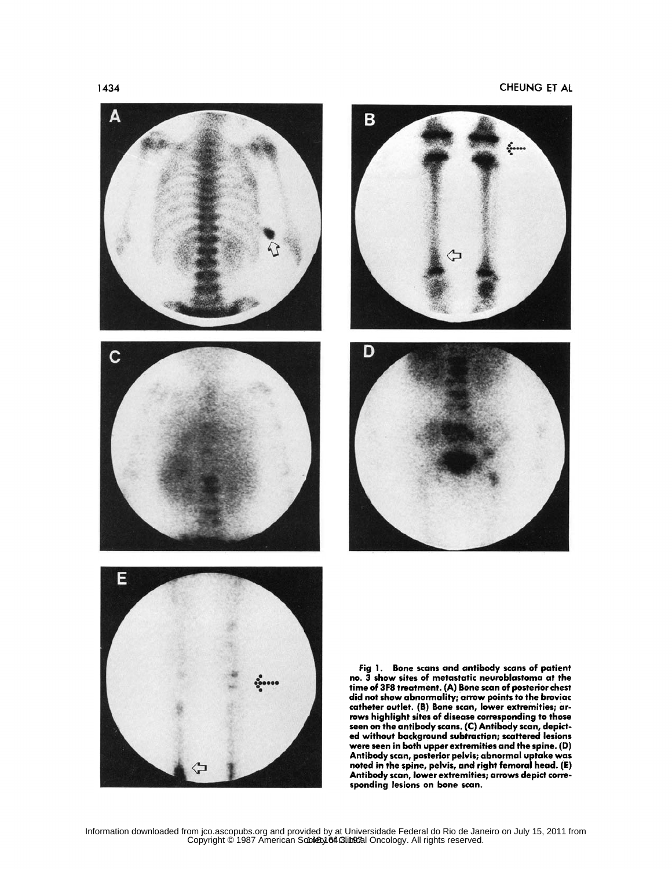





Fig 1. Bone scans and antibody scans of patient no. 3 show sites of metastatic neuroblastoma at the time of 3F8 treatment. (A) Bone scan of posterior chest did not show abnormality; arrow points to the broviac catheter outlet. (B) Bone scan, lower extremities; arrows highlight sites of disease corresponding to those seen on the antibody scans. (C) Antibody scan, depicted without background subtraction; scattered lesions were seen in both upper extremities and the spine. (D) Antibody scan, posterior pelvis; abnormal uptake was noted in the spine, pelvis, and right femoral head. (E) Antibody scan, lower extremities; arrows depict corresponding lesions on bone scan.

Information downloaded from jco.ascopubs.org and provided by at Universidade Federal do Rio de Janeiro on July 15, 2011 from<br>Copyright © 1987 American So**ciety 64.Glineza**l Oncology. All rights reserved.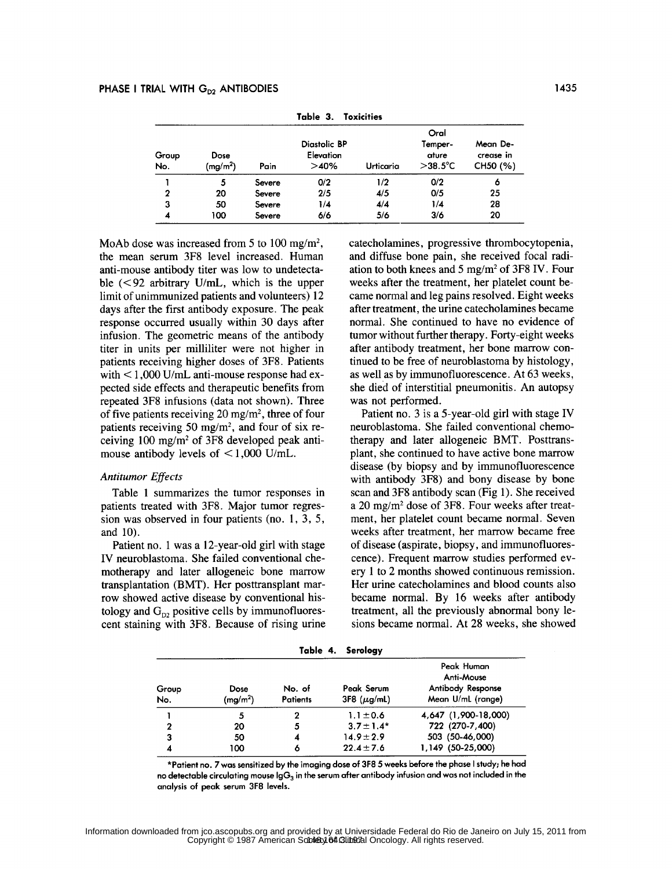| Group<br>No. | <b>Dose</b><br>$(\mathsf{mg}/\mathsf{m}^2)$ | Pain   | Diastolic BP<br>Elevation<br>>40% | Urticaria | Oral<br>Temper-<br>ature<br>$>$ 38.5 $\degree$ C | Mean De-<br>crease in<br>CH50 (%) |
|--------------|---------------------------------------------|--------|-----------------------------------|-----------|--------------------------------------------------|-----------------------------------|
|              | 5                                           | Severe | 0/2                               | 1/2       | 0/2                                              | 6                                 |
| $\mathbf{2}$ | 20                                          | Severe | 2/5                               | 4/5       | 0/5                                              | 25                                |
| 3            | 50                                          | Severe | 1/4                               | 4/4       | 1/4                                              | 28                                |
| 4            | 100                                         | Severe | 6/6                               | 5/6       | 3/6                                              | 20                                |

Table **3.** Toxicities

MoAb dose was increased from 5 to 100 mg/m<sup>2</sup>. the mean serum 3F8 level increased. Human anti-mouse antibody titer was low to undetectable (<92 arbitrary U/mL, which is the upper limit of unimmunized patients and volunteers) 12 days after the first antibody exposure. The peak response occurred usually within 30 days after infusion. The geometric means of the antibody titer in units per milliliter were not higher in patients receiving higher doses of 3F8. Patients with  $\leq 1,000$  U/mL anti-mouse response had expected side effects and therapeutic benefits from repeated 3F8 infusions (data not shown). Three of five patients receiving  $20 \text{ mg/m}^2$ , three of four patients receiving 50 mg/m2, and four of six receiving 100 mg/m2 of 3F8 developed peak antimouse antibody levels of  $\leq 1,000$  U/mL.

# *Antitumor Effects*

Table 1 summarizes the tumor responses in patients treated with 3F8. Major tumor regression was observed in four patients (no. 1, 3, 5, and 10).

Patient no. **1** was a 12-year-old girl with stage IV neuroblastoma. She failed conventional chemotherapy and later allogeneic bone marrow transplantation (BMT). Her posttransplant marrow showed active disease by conventional histology and  $G_{D2}$  positive cells by immunofluorescent staining with 3F8. Because of rising urine catecholamines, progressive thrombocytopenia, and diffuse bone pain, she received focal radiation to both knees and 5 mg/m2 of 3F8 IV. Four weeks after the treatment, her platelet count became normal and leg pains resolved. Eight weeks after treatment, the urine catecholamines became normal. She continued to have no evidence of tumor without further therapy. Forty-eight weeks after antibody treatment, her bone marrow continued to be free of neuroblastoma by histology, as well as by immunofluorescence. At 63 weeks, she died of interstitial pneumonitis. An autopsy was not performed.

Patient no. 3 is a 5-year-old girl with stage IV neuroblastoma. She failed conventional chemotherapy and later allogeneic BMT. Posttransplant, she continued to have active bone marrow disease (by biopsy and by immunofluorescence with antibody 3F8) and bony disease by bone scan and 3F8 antibody scan (Fig 1). She received a 20 mg/m2 dose of 3F8. Four weeks after treatment, her platelet count became normal. Seven weeks after treatment, her marrow became free of disease (aspirate, biopsy, and immunofluorescence). Frequent marrow studies performed every 1 to 2 months showed continuous remission. Her urine catecholamines and blood counts also became normal. By 16 weeks after antibody treatment, all the previously abnormal bony lesions became normal. At 28 weeks, she showed

| Table 4.<br>Serology |                    |                           |                                |                                                                    |  |  |
|----------------------|--------------------|---------------------------|--------------------------------|--------------------------------------------------------------------|--|--|
| Group<br>No.         | Dose<br>$(mg/m^2)$ | No. of<br><b>Patients</b> | Peak Serum<br>$3F8 (\mu g/ml)$ | Peak Human<br>Anti-Mouse<br>Antibody Response<br>Mean U/mL (range) |  |  |
|                      | 5                  |                           | $1.1 \pm 0.6$                  | 4,647 (1,900-18,000)                                               |  |  |
| 2                    | 20                 | 5                         | $3.7 \pm 1.4*$                 | 722 (270-7,400)                                                    |  |  |
| 3                    | 50                 | 4                         | $14.9 \pm 2.9$                 | 503 (50-46,000)                                                    |  |  |
|                      | 100                |                           | $22.4 \pm 7.6$                 | 1,149 (50-25,000)                                                  |  |  |

\*Patient no. 7was sensitized by the imaging dose of **3F8** 5 weeks before the phase **I** study; he had no detectable circulating mouse IgG<sub>3</sub> in the serum after antibody infusion and was not included in the analysis of peak serum **3F8** levels.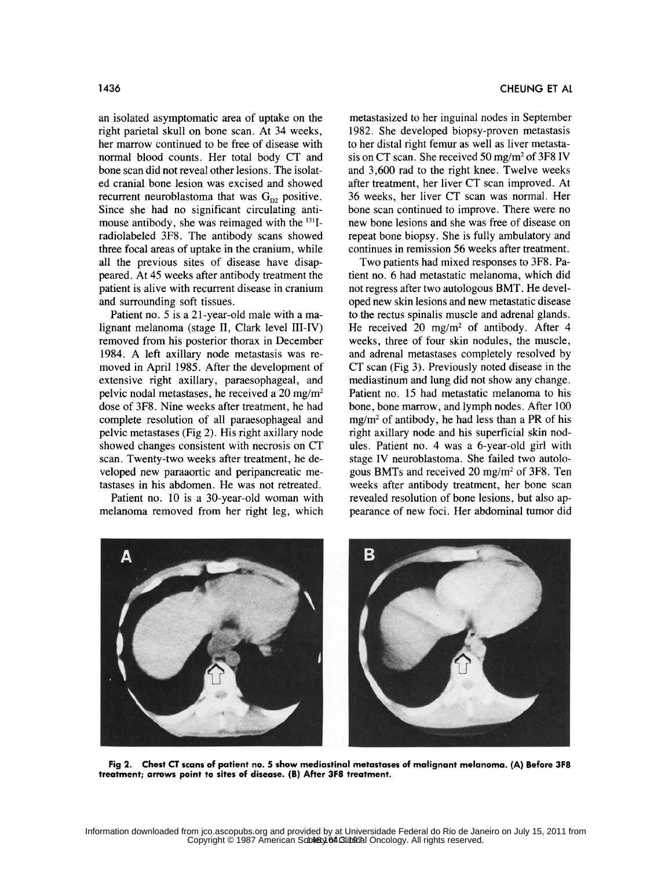an isolated asymptomatic area of uptake on the right parietal skull on bone scan. At 34 weeks, her marrow continued to be free of disease with normal blood counts. Her total body CT and bone scan did not reveal other lesions. The isolated cranial bone lesion was excised and showed recurrent neuroblastoma that was  $G_{D2}$  positive. Since she had no significant circulating antimouse antibody, she was reimaged with the <sup>131</sup>Iradiolabeled 3F8. The antibody scans showed three focal areas of uptake in the cranium, while all the previous sites of disease have disappeared. At 45 weeks after antibody treatment the patient is alive with recurrent disease in cranium and surrounding soft tissues.

Patient no. 5 is a 21-year-old male with a malignant melanoma (stage II, Clark level III-IV) removed from his posterior thorax in December 1984. A left axillary node metastasis was removed in April 1985. After the development of extensive right axillary, paraesophageal, and pelvic nodal metastases, he received a 20 mg/m2 dose of 3F8. Nine weeks after treatment, he had complete resolution of all paraesophageal and pelvic metastases (Fig 2). His right axillary node showed changes consistent with necrosis on CT scan. Twenty-two weeks after treatment, he developed new paraaortic and peripancreatic metastases in his abdomen. He was not retreated.

Patient no. 10 is a 30-year-old woman with melanoma removed from her right leg, which

metastasized to her inguinal nodes in September 1982. She developed biopsy-proven metastasis to her distal right femur as well as liver metastasis on CT scan. She received 50 mg/m2 of 3F8 IV and 3,600 rad to the right knee. Twelve weeks after treatment, her liver CT scan improved. At 36 weeks, her liver CT scan was normal. Her bone scan continued to improve. There were no new bone lesions and she was free of disease on repeat bone biopsy. She is fully ambulatory and continues in remission 56 weeks after treatment.

Two patients had mixed responses to 3F8. Patient no. 6 had metastatic melanoma, which did not regress after two autologous BMT. He developed new skin lesions and new metastatic disease to the rectus spinalis muscle and adrenal glands. He received 20 mg/m<sup>2</sup> of antibody. After 4 weeks, three of four skin nodules, the muscle, and adrenal metastases completely resolved by CT scan (Fig 3). Previously noted disease in the mediastinum and lung did not show any change. Patient no. 15 had metastatic melanoma to his bone, bone marrow, and lymph nodes. After 100  $mg/m<sup>2</sup>$  of antibody, he had less than a PR of his right axillary node and his superficial skin nodules. Patient no. 4 was a 6-year-old girl with stage IV neuroblastoma. She failed two autologous BMTs and received 20 mg/m2 of 3F8. Ten weeks after antibody treatment, her bone scan revealed resolution of bone lesions, but also appearance of new foci. Her abdominal tumor did



Fig 2. Chest **CT** scans of patient no. **5** show mediastinal metastases of malignant melanoma. **(A)** Before **3F8** treatment; arrows point to sites of disease. (B) After **3F8** treatment.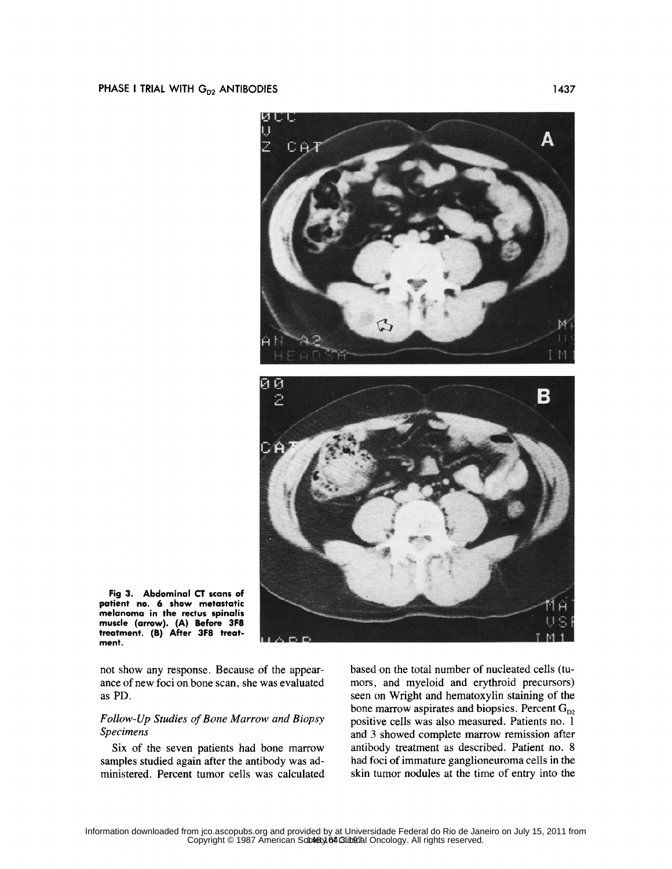

Fig **3.** Abdominal **CT** scans of patient no. **6** show metastatic melanoma in the rectus spinalis muscle (arrow). **(A)** Before **3F8** treatment. (B) After **3F8** treatment.

not show any response. Because of the appearance of new foci on bone scan, she was evaluated as PD.

# *Follow-Up Studies of Bone Marrow and Biopsy Specimens*

Six of the seven patients had bone marrow samples studied again after the antibody was administered. Percent tumor cells was calculated based on the total number of nucleated cells (tumors, and myeloid and erythroid precursors) seen on Wright and hematoxylin staining of the bone marrow aspirates and biopsies. Percent  $G_{D2}$ positive cells was also measured. Patients no. 1 and 3 showed complete marrow remission after antibody treatment as described. Patient no. 8 had foci of immature ganglioneuroma cells in the skin tumor nodules at the time of entry into the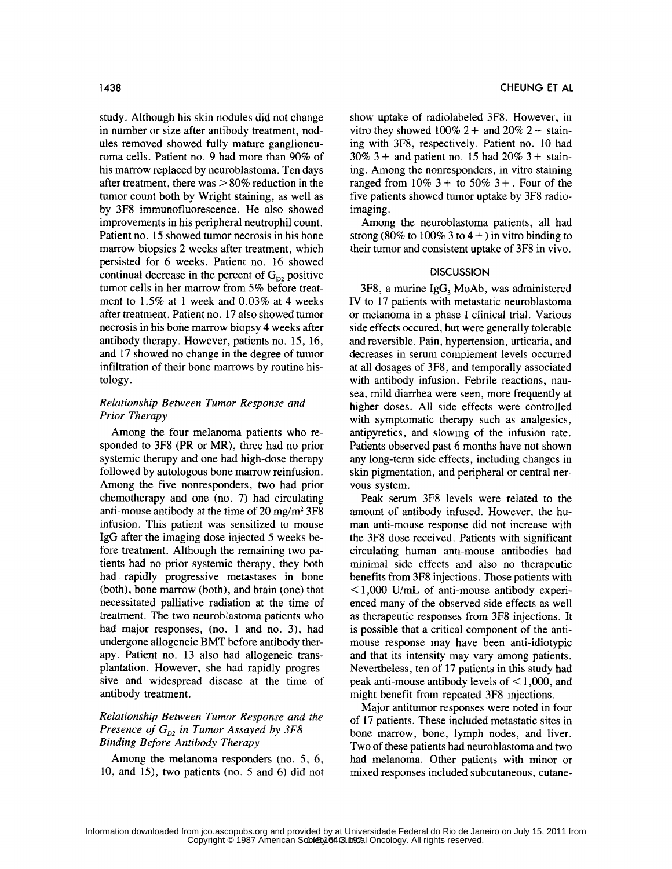study. Although his skin nodules did not change in number or size after antibody treatment, nodules removed showed fully mature ganglioneuroma cells. Patient no. 9 had more than 90% of his marrow replaced by neuroblastoma. Ten days after treatment, there was **>** 80% reduction in the tumor count both by Wright staining, as well as by 3F8 immunofluorescence. He also showed improvements in his peripheral neutrophil count. Patient no. 15 showed tumor necrosis in his bone marrow biopsies 2 weeks after treatment, which persisted for 6 weeks. Patient no. 16 showed continual decrease in the percent of  $G_{D2}$  positive tumor cells in her marrow from 5% before treatment to 1.5% at 1 week and 0.03% at 4 weeks after treatment. Patient no. 17 also showed tumor necrosis in his bone marrow biopsy 4 weeks after antibody therapy. However, patients no. 15, 16, and 17 showed no change in the degree of tumor infiltration of their bone marrows by routine histology.

# *Relationship Between Tumor Response and Prior Therapy*

Among the four melanoma patients who responded to 3F8 (PR or MR), three had no prior systemic therapy and one had high-dose therapy followed by autologous bone marrow reinfusion. Among the five nonresponders, two had prior chemotherapy and one (no. 7) had circulating anti-mouse antibody at the time of 20 mg/m<sup>2</sup> 3F8 infusion. This patient was sensitized to mouse IgG after the imaging dose injected 5 weeks before treatment. Although the remaining two patients had no prior systemic therapy, they both had rapidly progressive metastases in bone (both), bone marrow (both), and brain (one) that necessitated palliative radiation at the time of treatment. The two neuroblastoma patients who had major responses, (no. 1 and no. 3), had undergone allogeneic BMT before antibody therapy. Patient no. 13 also had allogeneic transplantation. However, she had rapidly progressive and widespread disease at the time of antibody treatment.

# *Relationship Between Tumor Response and the Presence of G, <sup>2</sup>in Tumor Assayed by 3F8 Binding Before Antibody Therapy*

Among the melanoma responders (no. 5, 6, 10, and 15), two patients (no. 5 and 6) did not show uptake of radiolabeled 3F8. However, in vitro they showed  $100\%$  2 + and  $20\%$  2 + staining with 3F8, respectively. Patient no. 10 had  $30\%$  3 + and patient no. 15 had  $20\%$  3 + staining. Among the nonresponders, in vitro staining ranged from  $10\%$  3 + to 50% 3 +. Four of the five patients showed tumor uptake by 3F8 radioimaging.

Among the neuroblastoma patients, all had strong (80% to  $100\%$  3 to  $4+$ ) in vitro binding to their tumor and consistent uptake of 3F8 in vivo.

### **DISCUSSION**

 $3F8$ , a murine IgG, MoAb, was administered IV to 17 patients with metastatic neuroblastoma or melanoma in a phase I clinical trial. Various side effects occured, but were generally tolerable and reversible. Pain, hypertension, urticaria, and decreases in serum complement levels occurred at all dosages of 3F8, and temporally associated with antibody infusion. Febrile reactions, nausea, mild diarrhea were seen, more frequently at higher doses. All side effects were controlled with symptomatic therapy such as analgesics, antipyretics, and slowing of the infusion rate. Patients observed past 6 months have not shown any long-term side effects, including changes in skin pigmentation, and peripheral or central nervous system.

Peak serum 3F8 levels were related to the amount of antibody infused. However, the human anti-mouse response did not increase with the 3F8 dose received. Patients with significant circulating human anti-mouse antibodies had minimal side effects and also no therapeutic benefits from 3F8 injections. Those patients with  $\leq$ 1,000 U/mL of anti-mouse antibody experienced many of the observed side effects as well as therapeutic responses from 3F8 injections. It is possible that a critical component of the antimouse response may have been anti-idiotypic and that its intensity may vary among patients. Nevertheless, ten of 17 patients in this study had peak anti-mouse antibody levels of < 1,000, and might benefit from repeated 3F8 injections.

Major antitumor responses were noted in four of 17 patients. These included metastatic sites in bone marrow, bone, lymph nodes, and liver. Two of these patients had neuroblastoma and two had melanoma. Other patients with minor or mixed responses included subcutaneous, cutane-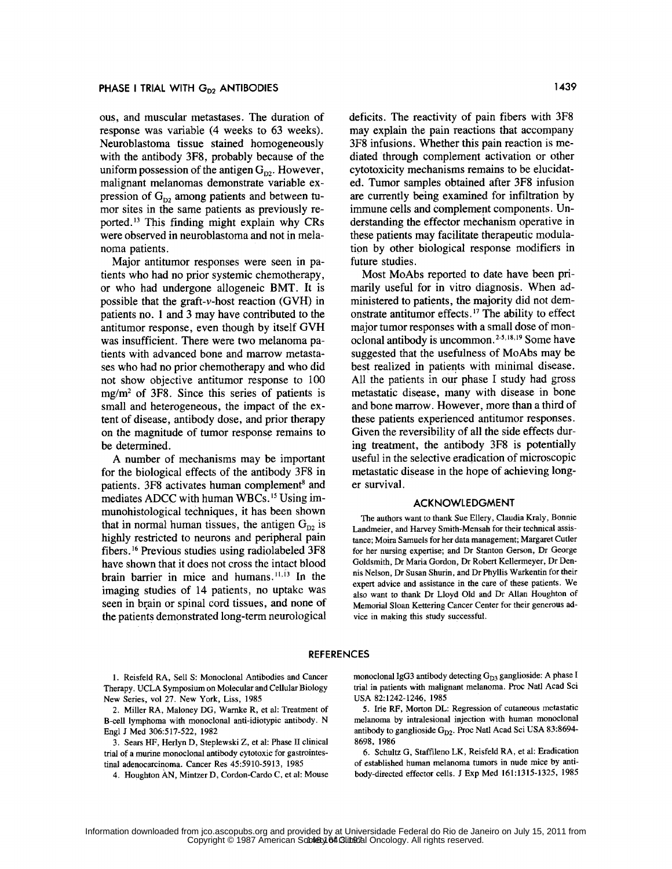ous, and muscular metastases. The duration of response was variable (4 weeks to **63** weeks). Neuroblastoma tissue stained homogeneously with the antibody **3F8,** probably because of the uniform possession of the antigen  $G_{p2}$ . However, malignant melanomas demonstrate variable expression of  $G_{D2}$  among patients and between tumor sites in the same patients as previously reported.<sup>13</sup> This finding might explain why CRs were observed in neuroblastoma and not in melanoma patients.

Major antitumor responses were seen in patients who had no prior systemic chemotherapy, or who had undergone allogeneic BMT. It is possible that the graft-v-host reaction **(GVH)** in patients no. 1 and **3** may have contributed to the antitumor response, even though **by** itself GVH was insufficient. There were two melanoma patients with advanced bone and marrow metastases who had no prior chemotherapy and who did not show objective antitumor response to **100** mg/m2 of **3F8.** Since this series of patients is small and heterogeneous, the impact of the extent of disease, antibody dose, and prior therapy on the magnitude of tumor response remains to be determined.

**A** number of mechanisms may be important for the biological effects of the antibody **3F8** in patients. 3F8 activates human complement<sup>8</sup> and mediates ADCC with human WBCs.<sup>15</sup> Using immunohistological techniques, it has been shown that in normal human tissues, the antigen  $G_{D2}$  is **highly** restricted to neurons and peripheral pain fibers.' 6 Previous studies using radiolabeled **3F8** have shown that it does not cross the intact blood brain barrier in mice and humans. $11,13$  In the imaging studies of 14 patients, no uptake was seen in brain or spinal cord tissues, and none of the patients demonstrated long-term neurological deficits. The reactivity of pain fibers with **3F8** may explain the pain reactions that accompany **3F8** infusions. Whether this pain reaction is mediated through complement activation or other cytotoxicity mechanisms remains to be elucidated. Tumor samples obtained after **3F8** infusion are currently being examined for infiltration **by** immune cells and complement components. Understanding the effector mechanism operative in these patients may facilitate therapeutic modulation **by** other biological response modifiers in future studies.

Most MoAbs reported to date have been primarily useful for in vitro diagnosis. When administered to patients, the majority did not demonstrate antitumor effects. **1"** The ability to effect major tumor responses with a small dose of monoclonal antibody is uncommon.<sup>2-5,18,19</sup> Some have suggested that the usefulness of MoAbs may be best realized in patients with minimal disease. **All** the patients in our phase I study had gross metastatic disease, many with disease in bone and bone marrow. However, more than a third of these patients experienced antitumor responses. Given the reversibility of all the side effects during treatment, the antibody **3F8** is potentially useful in the selective eradication of microscopic metastatic disease in the hope of achieving longer survival.

# **ACKNOWLEDGMENT**

The authors want to thank Sue Ellery, Claudia Kraly, Bonnie Landmeier, and Harvey Smith-Mensah for their technical assistance; Moira Samuels for her data management; Margaret Cutler for her nursing expertise; and Dr Stanton Gerson, Dr George Goldsmith, Dr Maria Gordon, Dr Robert Kellermeyer, Dr Dennis Nelson, Dr Susan Shurin, and Dr Phyllis Warkentin for their expert advice and assistance in the care of these patients. We also want to thank Dr Lloyd Old and Dr Allan Houghton of Memorial Sloan Kettering Cancer Center for their generous advice in making this study successful.

#### **REFERENCES**

1. Reisfeld RA, Sell S: Monoclonal Antibodies and Cancer Therapy. UCLA Symposium on Molecular and Cellular Biology New Series, vol 27. New York, Liss, 1985

2. Miller RA, Maloney DG, Warnke R, et al: Treatment of B-cell lymphoma with monoclonal anti-idiotypic antibody. N Engl J Med 306:517-522, 1982

3. Sears HF, Herlyn D, Steplewski Z, et al: Phase II clinical trial of a murine monoclonal antibody cytotoxic for gastrointestinal adenocarcinoma. Cancer Res 45:5910-5913, 1985

4. Houghton AN, Mintzer D, Cordon-Cardo C, et al: Mouse

monoclonal IgG3 antibody detecting  $G_{D3}$  ganglioside: A phase I trial in patients with malignant melanoma. Proc Natl Acad Sci USA 82:1242-1246, 1985

5. Irie RF, Morton DL: Regression of cutaneous metastatic melanoma by intralesional injection with human monoclonal antibody to ganglioside G<sub>D2</sub>. Proc Natl Acad Sci USA 83:8694-8698, 1986

6. Schultz G, Staffileno LK, Reisfeld RA, et al: Eradication of established human melanoma tumors in nude mice by antibody-directed effector cells. J Exp Med 161:1315-1325, 1985